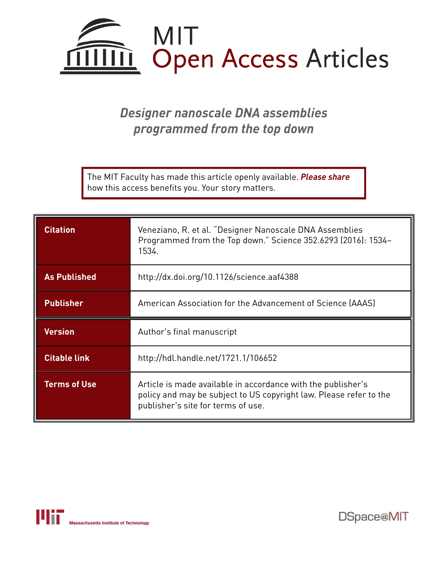

# *Designer nanoscale DNA assemblies programmed from the top down*

The MIT Faculty has made this article openly available. *[Please](https://libraries.mit.edu/forms/dspace-oa-articles.html) share* how this access benefits you. Your story matters.

| <b>Citation</b>     | Veneziano, R. et al. "Designer Nanoscale DNA Assemblies<br>Programmed from the Top down." Science 352.6293 (2016): 1534-<br>1534. |
|---------------------|-----------------------------------------------------------------------------------------------------------------------------------|
| <b>As Published</b> | http://dx.doi.org/10.1126/science.aaf4388                                                                                         |
| <b>Publisher</b>    | American Association for the Advancement of Science (AAAS)                                                                        |
|                     |                                                                                                                                   |
| <b>Version</b>      | Author's final manuscript                                                                                                         |
| <b>Citable link</b> | http://hdl.handle.net/1721.1/106652                                                                                               |



DSpace@MIT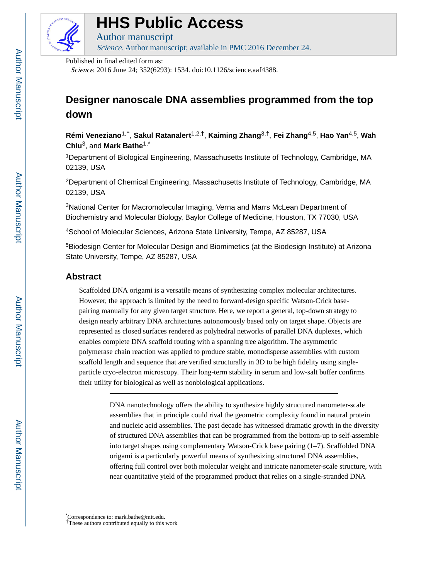

# **HHS Public Access**

Author manuscript

Science. Author manuscript; available in PMC 2016 December 24.

Published in final edited form as:

Science. 2016 June 24; 352(6293): 1534. doi:10.1126/science.aaf4388.

# **Designer nanoscale DNA assemblies programmed from the top down**

**Rémi Veneziano**1,†, **Sakul Ratanalert**1,2,†, **Kaiming Zhang**3,†, **Fei Zhang**4,5, **Hao Yan**4,5, **Wah Chiu**3, and **Mark Bathe**1,\*

<sup>1</sup>Department of Biological Engineering, Massachusetts Institute of Technology, Cambridge, MA 02139, USA

<sup>2</sup>Department of Chemical Engineering, Massachusetts Institute of Technology, Cambridge, MA 02139, USA

<sup>3</sup>National Center for Macromolecular Imaging, Verna and Marrs McLean Department of Biochemistry and Molecular Biology, Baylor College of Medicine, Houston, TX 77030, USA

<sup>4</sup>School of Molecular Sciences, Arizona State University, Tempe, AZ 85287, USA

<sup>5</sup>Biodesign Center for Molecular Design and Biomimetics (at the Biodesign Institute) at Arizona State University, Tempe, AZ 85287, USA

# **Abstract**

Scaffolded DNA origami is a versatile means of synthesizing complex molecular architectures. However, the approach is limited by the need to forward-design specific Watson-Crick basepairing manually for any given target structure. Here, we report a general, top-down strategy to design nearly arbitrary DNA architectures autonomously based only on target shape. Objects are represented as closed surfaces rendered as polyhedral networks of parallel DNA duplexes, which enables complete DNA scaffold routing with a spanning tree algorithm. The asymmetric polymerase chain reaction was applied to produce stable, monodisperse assemblies with custom scaffold length and sequence that are verified structurally in 3D to be high fidelity using singleparticle cryo-electron microscopy. Their long-term stability in serum and low-salt buffer confirms their utility for biological as well as nonbiological applications.

> DNA nanotechnology offers the ability to synthesize highly structured nanometer-scale assemblies that in principle could rival the geometric complexity found in natural protein and nucleic acid assemblies. The past decade has witnessed dramatic growth in the diversity of structured DNA assemblies that can be programmed from the bottom-up to self-assemble into target shapes using complementary Watson-Crick base pairing (1–7). Scaffolded DNA origami is a particularly powerful means of synthesizing structured DNA assemblies, offering full control over both molecular weight and intricate nanometer-scale structure, with near quantitative yield of the programmed product that relies on a single-stranded DNA

<sup>\*</sup>Correspondence to: mark.bathe@mit.edu.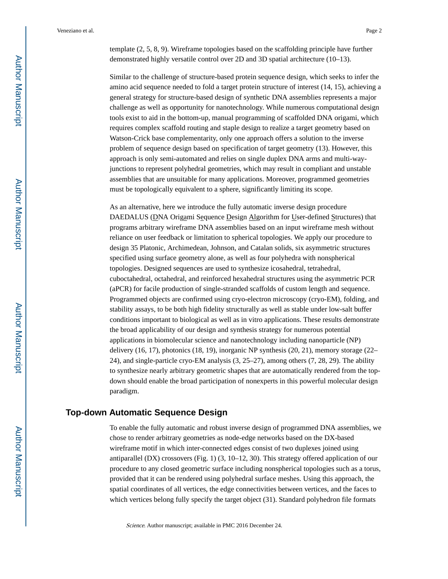template (2, 5, 8, 9). Wireframe topologies based on the scaffolding principle have further demonstrated highly versatile control over 2D and 3D spatial architecture (10–13).

Similar to the challenge of structure-based protein sequence design, which seeks to infer the amino acid sequence needed to fold a target protein structure of interest (14, 15), achieving a general strategy for structure-based design of synthetic DNA assemblies represents a major challenge as well as opportunity for nanotechnology. While numerous computational design tools exist to aid in the bottom-up, manual programming of scaffolded DNA origami, which requires complex scaffold routing and staple design to realize a target geometry based on Watson-Crick base complementarity, only one approach offers a solution to the inverse problem of sequence design based on specification of target geometry (13). However, this approach is only semi-automated and relies on single duplex DNA arms and multi-wayjunctions to represent polyhedral geometries, which may result in compliant and unstable assemblies that are unsuitable for many applications. Moreover, programmed geometries must be topologically equivalent to a sphere, significantly limiting its scope.

As an alternative, here we introduce the fully automatic inverse design procedure DAEDALUS (DNA Origami Sequence Design Algorithm for User-defined Structures) that programs arbitrary wireframe DNA assemblies based on an input wireframe mesh without reliance on user feedback or limitation to spherical topologies. We apply our procedure to design 35 Platonic, Archimedean, Johnson, and Catalan solids, six asymmetric structures specified using surface geometry alone, as well as four polyhedra with nonspherical topologies. Designed sequences are used to synthesize icosahedral, tetrahedral, cuboctahedral, octahedral, and reinforced hexahedral structures using the asymmetric PCR (aPCR) for facile production of single-stranded scaffolds of custom length and sequence. Programmed objects are confirmed using cryo-electron microscopy (cryo-EM), folding, and stability assays, to be both high fidelity structurally as well as stable under low-salt buffer conditions important to biological as well as in vitro applications. These results demonstrate the broad applicability of our design and synthesis strategy for numerous potential applications in biomolecular science and nanotechnology including nanoparticle (NP) delivery (16, 17), photonics (18, 19), inorganic NP synthesis (20, 21), memory storage (22– 24), and single-particle cryo-EM analysis (3, 25–27), among others (7, 28, 29). The ability to synthesize nearly arbitrary geometric shapes that are automatically rendered from the topdown should enable the broad participation of nonexperts in this powerful molecular design paradigm.

### **Top-down Automatic Sequence Design**

To enable the fully automatic and robust inverse design of programmed DNA assemblies, we chose to render arbitrary geometries as node-edge networks based on the DX-based wireframe motif in which inter-connected edges consist of two duplexes joined using antiparallel (DX) crossovers (Fig. 1) (3, 10–12, 30). This strategy offered application of our procedure to any closed geometric surface including nonspherical topologies such as a torus, provided that it can be rendered using polyhedral surface meshes. Using this approach, the spatial coordinates of all vertices, the edge connectivities between vertices, and the faces to which vertices belong fully specify the target object (31). Standard polyhedron file formats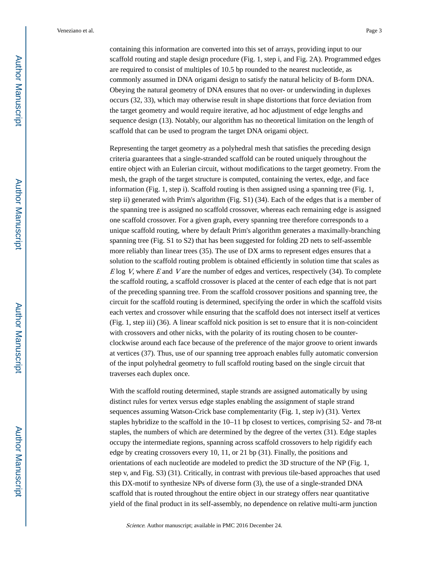containing this information are converted into this set of arrays, providing input to our scaffold routing and staple design procedure (Fig. 1, step i, and Fig. 2A). Programmed edges are required to consist of multiples of 10.5 bp rounded to the nearest nucleotide, as commonly assumed in DNA origami design to satisfy the natural helicity of B-form DNA. Obeying the natural geometry of DNA ensures that no over- or underwinding in duplexes occurs (32, 33), which may otherwise result in shape distortions that force deviation from the target geometry and would require iterative, ad hoc adjustment of edge lengths and sequence design (13). Notably, our algorithm has no theoretical limitation on the length of scaffold that can be used to program the target DNA origami object.

Representing the target geometry as a polyhedral mesh that satisfies the preceding design criteria guarantees that a single-stranded scaffold can be routed uniquely throughout the entire object with an Eulerian circuit, without modifications to the target geometry. From the mesh, the graph of the target structure is computed, containing the vertex, edge, and face information (Fig. 1, step i). Scaffold routing is then assigned using a spanning tree (Fig. 1, step ii) generated with Prim's algorithm (Fig. S1) (34). Each of the edges that is a member of the spanning tree is assigned no scaffold crossover, whereas each remaining edge is assigned one scaffold crossover. For a given graph, every spanning tree therefore corresponds to a unique scaffold routing, where by default Prim's algorithm generates a maximally-branching spanning tree (Fig. S1 to S2) that has been suggested for folding 2D nets to self-assemble more reliably than linear trees (35). The use of DX arms to represent edges ensures that a solution to the scaffold routing problem is obtained efficiently in solution time that scales as  $E$ log V, where E and V are the number of edges and vertices, respectively (34). To complete the scaffold routing, a scaffold crossover is placed at the center of each edge that is not part of the preceding spanning tree. From the scaffold crossover positions and spanning tree, the circuit for the scaffold routing is determined, specifying the order in which the scaffold visits each vertex and crossover while ensuring that the scaffold does not intersect itself at vertices (Fig. 1, step iii) (36). A linear scaffold nick position is set to ensure that it is non-coincident with crossovers and other nicks, with the polarity of its routing chosen to be counterclockwise around each face because of the preference of the major groove to orient inwards at vertices (37). Thus, use of our spanning tree approach enables fully automatic conversion of the input polyhedral geometry to full scaffold routing based on the single circuit that traverses each duplex once.

With the scaffold routing determined, staple strands are assigned automatically by using distinct rules for vertex versus edge staples enabling the assignment of staple strand sequences assuming Watson-Crick base complementarity (Fig. 1, step iv) (31). Vertex staples hybridize to the scaffold in the 10–11 bp closest to vertices, comprising 52- and 78-nt staples, the numbers of which are determined by the degree of the vertex (31). Edge staples occupy the intermediate regions, spanning across scaffold crossovers to help rigidify each edge by creating crossovers every 10, 11, or 21 bp (31). Finally, the positions and orientations of each nucleotide are modeled to predict the 3D structure of the NP (Fig. 1, step v, and Fig. S3) (31). Critically, in contrast with previous tile-based approaches that used this DX-motif to synthesize NPs of diverse form (3), the use of a single-stranded DNA scaffold that is routed throughout the entire object in our strategy offers near quantitative yield of the final product in its self-assembly, no dependence on relative multi-arm junction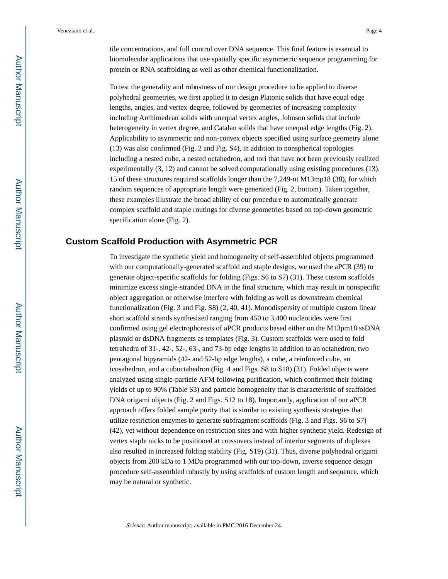tile concentrations, and full control over DNA sequence. This final feature is essential to biomolecular applications that use spatially specific asymmetric sequence programming for protein or RNA scaffolding as well as other chemical functionalization.

To test the generality and robustness of our design procedure to be applied to diverse polyhedral geometries, we first applied it to design Platonic solids that have equal edge lengths, angles, and vertex-degree, followed by geometries of increasing complexity including Archimedean solids with unequal vertex angles, Johnson solids that include heterogeneity in vertex degree, and Catalan solids that have unequal edge lengths (Fig. 2). Applicability to asymmetric and non-convex objects specified using surface geometry alone (13) was also confirmed (Fig. 2 and Fig. S4), in addition to nonspherical topologies including a nested cube, a nested octahedron, and tori that have not been previously realized experimentally (3, 12) and cannot be solved computationally using existing procedures (13). 15 of these structures required scaffolds longer than the 7,249-nt M13mp18 (38), for which random sequences of appropriate length were generated (Fig. 2, bottom). Taken together, these examples illustrate the broad ability of our procedure to automatically generate complex scaffold and staple routings for diverse geometries based on top-down geometric specification alone (Fig. 2).

# **Custom Scaffold Production with Asymmetric PCR**

To investigate the synthetic yield and homogeneity of self-assembled objects programmed with our computationally-generated scaffold and staple designs, we used the aPCR (39) to generate object-specific scaffolds for folding (Figs. S6 to S7) (31). These custom scaffolds minimize excess single-stranded DNA in the final structure, which may result in nonspecific object aggregation or otherwise interfere with folding as well as downstream chemical functionalization (Fig. 3 and Fig. S8) (2, 40, 41). Monodispersity of multiple custom linear short scaffold strands synthesized ranging from 450 to 3,400 nucleotides were first confirmed using gel electrophoresis of aPCR products based either on the M13pm18 ssDNA plasmid or dsDNA fragments as templates (Fig. 3). Custom scaffolds were used to fold tetrahedra of 31-, 42-, 52-, 63-, and 73-bp edge lengths in addition to an octahedron, two pentagonal bipyramids (42- and 52-bp edge lengths), a cube, a reinforced cube, an icosahedron, and a cuboctahedron (Fig. 4 and Figs. S8 to S18) (31). Folded objects were analyzed using single-particle AFM following purification, which confirmed their folding yields of up to 90% (Table S3) and particle homogeneity that is characteristic of scaffolded DNA origami objects (Fig. 2 and Figs. S12 to 18). Importantly, application of our aPCR approach offers folded sample purity that is similar to existing synthesis strategies that utilize restriction enzymes to generate subfragment scaffolds (Fig. 3 and Figs. S6 to S7) (42), yet without dependence on restriction sites and with higher synthetic yield. Redesign of vertex staple nicks to be positioned at crossovers instead of interior segments of duplexes also resulted in increased folding stability (Fig. S19) (31). Thus, diverse polyhedral origami objects from 200 kDa to 1 MDa programmed with our top-down, inverse sequence design procedure self-assembled robustly by using scaffolds of custom length and sequence, which may be natural or synthetic.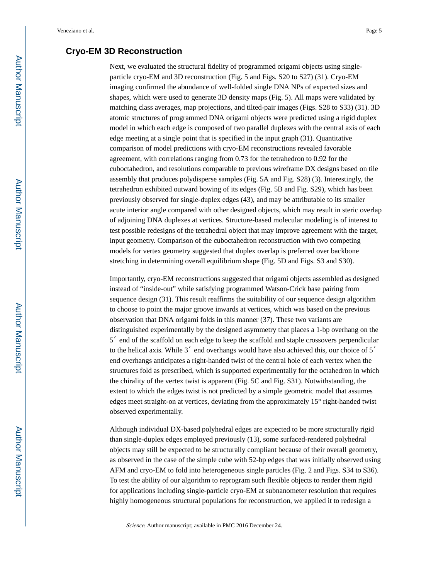# **Cryo-EM 3D Reconstruction**

Next, we evaluated the structural fidelity of programmed origami objects using singleparticle cryo-EM and 3D reconstruction (Fig. 5 and Figs. S20 to S27) (31). Cryo-EM imaging confirmed the abundance of well-folded single DNA NPs of expected sizes and shapes, which were used to generate 3D density maps (Fig. 5). All maps were validated by matching class averages, map projections, and tilted-pair images (Figs. S28 to S33) (31). 3D atomic structures of programmed DNA origami objects were predicted using a rigid duplex model in which each edge is composed of two parallel duplexes with the central axis of each edge meeting at a single point that is specified in the input graph (31). Quantitative comparison of model predictions with cryo-EM reconstructions revealed favorable agreement, with correlations ranging from 0.73 for the tetrahedron to 0.92 for the cuboctahedron, and resolutions comparable to previous wireframe DX designs based on tile assembly that produces polydisperse samples (Fig. 5A and Fig. S28) (3). Interestingly, the tetrahedron exhibited outward bowing of its edges (Fig. 5B and Fig. S29), which has been previously observed for single-duplex edges (43), and may be attributable to its smaller acute interior angle compared with other designed objects, which may result in steric overlap of adjoining DNA duplexes at vertices. Structure-based molecular modeling is of interest to test possible redesigns of the tetrahedral object that may improve agreement with the target, input geometry. Comparison of the cuboctahedron reconstruction with two competing models for vertex geometry suggested that duplex overlap is preferred over backbone stretching in determining overall equilibrium shape (Fig. 5D and Figs. S3 and S30).

Importantly, cryo-EM reconstructions suggested that origami objects assembled as designed instead of "inside-out" while satisfying programmed Watson-Crick base pairing from sequence design (31). This result reaffirms the suitability of our sequence design algorithm to choose to point the major groove inwards at vertices, which was based on the previous observation that DNA origami folds in this manner (37). These two variants are distinguished experimentally by the designed asymmetry that places a 1-bp overhang on the 5′ end of the scaffold on each edge to keep the scaffold and staple crossovers perpendicular to the helical axis. While 3′ end overhangs would have also achieved this, our choice of 5′ end overhangs anticipates a right-handed twist of the central hole of each vertex when the structures fold as prescribed, which is supported experimentally for the octahedron in which the chirality of the vertex twist is apparent (Fig. 5C and Fig. S31). Notwithstanding, the extent to which the edges twist is not predicted by a simple geometric model that assumes edges meet straight-on at vertices, deviating from the approximately 15° right-handed twist observed experimentally.

Although individual DX-based polyhedral edges are expected to be more structurally rigid than single-duplex edges employed previously (13), some surfaced-rendered polyhedral objects may still be expected to be structurally compliant because of their overall geometry, as observed in the case of the simple cube with 52-bp edges that was initially observed using AFM and cryo-EM to fold into heterogeneous single particles (Fig. 2 and Figs. S34 to S36). To test the ability of our algorithm to reprogram such flexible objects to render them rigid for applications including single-particle cryo-EM at subnanometer resolution that requires highly homogeneous structural populations for reconstruction, we applied it to redesign a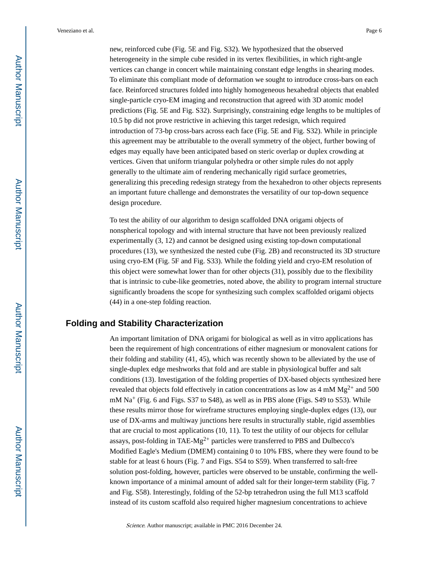new, reinforced cube (Fig. 5E and Fig. S32). We hypothesized that the observed heterogeneity in the simple cube resided in its vertex flexibilities, in which right-angle vertices can change in concert while maintaining constant edge lengths in shearing modes. To eliminate this compliant mode of deformation we sought to introduce cross-bars on each face. Reinforced structures folded into highly homogeneous hexahedral objects that enabled single-particle cryo-EM imaging and reconstruction that agreed with 3D atomic model predictions (Fig. 5E and Fig. S32). Surprisingly, constraining edge lengths to be multiples of 10.5 bp did not prove restrictive in achieving this target redesign, which required introduction of 73-bp cross-bars across each face (Fig. 5E and Fig. S32). While in principle this agreement may be attributable to the overall symmetry of the object, further bowing of edges may equally have been anticipated based on steric overlap or duplex crowding at vertices. Given that uniform triangular polyhedra or other simple rules do not apply generally to the ultimate aim of rendering mechanically rigid surface geometries, generalizing this preceding redesign strategy from the hexahedron to other objects represents an important future challenge and demonstrates the versatility of our top-down sequence design procedure.

To test the ability of our algorithm to design scaffolded DNA origami objects of nonspherical topology and with internal structure that have not been previously realized experimentally (3, 12) and cannot be designed using existing top-down computational procedures (13), we synthesized the nested cube (Fig. 2B) and reconstructed its 3D structure using cryo-EM (Fig. 5F and Fig. S33). While the folding yield and cryo-EM resolution of this object were somewhat lower than for other objects (31), possibly due to the flexibility that is intrinsic to cube-like geometries, noted above, the ability to program internal structure significantly broadens the scope for synthesizing such complex scaffolded origami objects (44) in a one-step folding reaction.

# **Folding and Stability Characterization**

An important limitation of DNA origami for biological as well as in vitro applications has been the requirement of high concentrations of either magnesium or monovalent cations for their folding and stability (41, 45), which was recently shown to be alleviated by the use of single-duplex edge meshworks that fold and are stable in physiological buffer and salt conditions (13). Investigation of the folding properties of DX-based objects synthesized here revealed that objects fold effectively in cation concentrations as low as  $4 \text{ mM Mg}^{2+}$  and 500  $mM Na<sup>+</sup>$  (Fig. 6 and Figs. S37 to S48), as well as in PBS alone (Figs. S49 to S53). While these results mirror those for wireframe structures employing single-duplex edges (13), our use of DX-arms and multiway junctions here results in structurally stable, rigid assemblies that are crucial to most applications (10, 11). To test the utility of our objects for cellular assays, post-folding in TAE- $Mg^{2+}$  particles were transferred to PBS and Dulbecco's Modified Eagle's Medium (DMEM) containing 0 to 10% FBS, where they were found to be stable for at least 6 hours (Fig. 7 and Figs. S54 to S59). When transferred to salt-free solution post-folding, however, particles were observed to be unstable, confirming the wellknown importance of a minimal amount of added salt for their longer-term stability (Fig. 7 and Fig. S58). Interestingly, folding of the 52-bp tetrahedron using the full M13 scaffold instead of its custom scaffold also required higher magnesium concentrations to achieve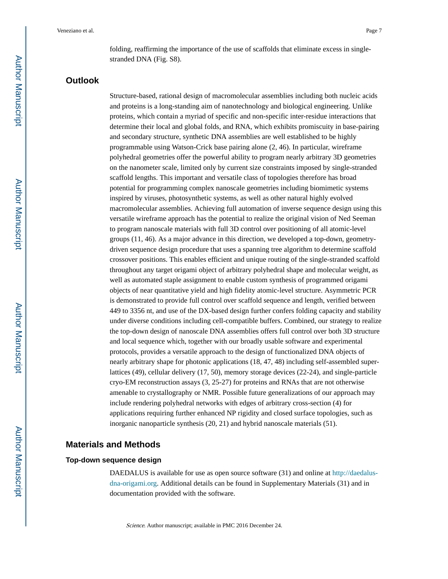folding, reaffirming the importance of the use of scaffolds that eliminate excess in singlestranded DNA (Fig. S8).

# **Outlook**

Structure-based, rational design of macromolecular assemblies including both nucleic acids and proteins is a long-standing aim of nanotechnology and biological engineering. Unlike proteins, which contain a myriad of specific and non-specific inter-residue interactions that determine their local and global folds, and RNA, which exhibits promiscuity in base-pairing and secondary structure, synthetic DNA assemblies are well established to be highly programmable using Watson-Crick base pairing alone (2, 46). In particular, wireframe polyhedral geometries offer the powerful ability to program nearly arbitrary 3D geometries on the nanometer scale, limited only by current size constraints imposed by single-stranded scaffold lengths. This important and versatile class of topologies therefore has broad potential for programming complex nanoscale geometries including biomimetic systems inspired by viruses, photosynthetic systems, as well as other natural highly evolved macromolecular assemblies. Achieving full automation of inverse sequence design using this versatile wireframe approach has the potential to realize the original vision of Ned Seeman to program nanoscale materials with full 3D control over positioning of all atomic-level groups (11, 46). As a major advance in this direction, we developed a top-down, geometrydriven sequence design procedure that uses a spanning tree algorithm to determine scaffold crossover positions. This enables efficient and unique routing of the single-stranded scaffold throughout any target origami object of arbitrary polyhedral shape and molecular weight, as well as automated staple assignment to enable custom synthesis of programmed origami objects of near quantitative yield and high fidelity atomic-level structure. Asymmetric PCR is demonstrated to provide full control over scaffold sequence and length, verified between 449 to 3356 nt, and use of the DX-based design further confers folding capacity and stability under diverse conditions including cell-compatible buffers. Combined, our strategy to realize the top-down design of nanoscale DNA assemblies offers full control over both 3D structure and local sequence which, together with our broadly usable software and experimental protocols, provides a versatile approach to the design of functionalized DNA objects of nearly arbitrary shape for photonic applications (18, 47, 48) including self-assembled superlattices (49), cellular delivery (17, 50), memory storage devices (22-24), and single-particle cryo-EM reconstruction assays (3, 25-27) for proteins and RNAs that are not otherwise amenable to crystallography or NMR. Possible future generalizations of our approach may include rendering polyhedral networks with edges of arbitrary cross-section (4) for applications requiring further enhanced NP rigidity and closed surface topologies, such as inorganic nanoparticle synthesis (20, 21) and hybrid nanoscale materials (51).

# **Materials and Methods**

#### **Top-down sequence design**

DAEDALUS is available for use as open source software (31) and online at [http://daedalus](http://daedalus-dna-origami.org)[dna-origami.org](http://daedalus-dna-origami.org). Additional details can be found in Supplementary Materials (31) and in documentation provided with the software.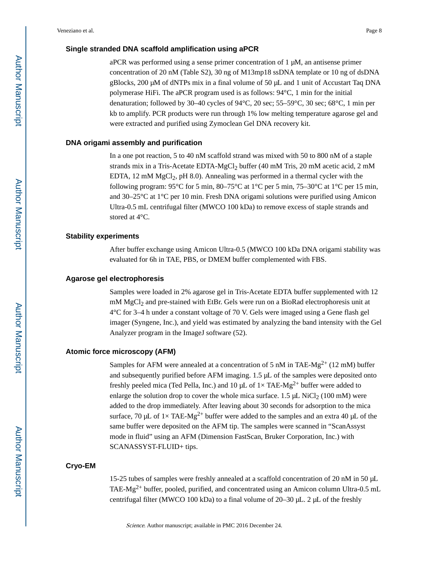#### **Single stranded DNA scaffold amplification using aPCR**

aPCR was performed using a sense primer concentration of 1 μM, an antisense primer concentration of 20 nM (Table S2), 30 ng of M13mp18 ssDNA template or 10 ng of dsDNA gBlocks, 200 μM of dNTPs mix in a final volume of 50 μL and 1 unit of Accustart Taq DNA polymerase HiFi. The aPCR program used is as follows: 94°C, 1 min for the initial denaturation; followed by 30–40 cycles of 94°C, 20 sec; 55–59°C, 30 sec; 68°C, 1 min per kb to amplify. PCR products were run through 1% low melting temperature agarose gel and were extracted and purified using Zymoclean Gel DNA recovery kit.

#### **DNA origami assembly and purification**

In a one pot reaction, 5 to 40 nM scaffold strand was mixed with 50 to 800 nM of a staple strands mix in a Tris-Acetate EDTA-MgCl<sub>2</sub> buffer  $(40 \text{ mM Tris}, 20 \text{ mM}$  acetic acid,  $2 \text{ mM}$ EDTA, 12 mM  $MgCl<sub>2</sub>$ , pH 8.0). Annealing was performed in a thermal cycler with the following program:  $95^{\circ}$ C for 5 min,  $80-75^{\circ}$ C at  $1^{\circ}$ C per 5 min,  $75-30^{\circ}$ C at  $1^{\circ}$ C per 15 min, and 30–25°C at 1°C per 10 min. Fresh DNA origami solutions were purified using Amicon Ultra-0.5 mL centrifugal filter (MWCO 100 kDa) to remove excess of staple strands and stored at 4°C.

#### **Stability experiments**

After buffer exchange using Amicon Ultra-0.5 (MWCO 100 kDa DNA origami stability was evaluated for 6h in TAE, PBS, or DMEM buffer complemented with FBS.

#### **Agarose gel electrophoresis**

Samples were loaded in 2% agarose gel in Tris-Acetate EDTA buffer supplemented with 12 mM MgCl<sub>2</sub> and pre-stained with EtBr. Gels were run on a BioRad electrophoresis unit at 4°C for 3–4 h under a constant voltage of 70 V. Gels were imaged using a Gene flash gel imager (Syngene, Inc.), and yield was estimated by analyzing the band intensity with the Gel Analyzer program in the ImageJ software (52).

#### **Atomic force microscopy (AFM)**

Samples for AFM were annealed at a concentration of 5 nM in TAE-Mg<sup>2+</sup> (12 mM) buffer and subsequently purified before AFM imaging. 1.5 μL of the samples were deposited onto freshly peeled mica (Ted Pella, Inc.) and 10  $\mu$ L of 1× TAE-Mg<sup>2+</sup> buffer were added to enlarge the solution drop to cover the whole mica surface.  $1.5 \mu L$  NiCl<sub>2</sub> (100 mM) were added to the drop immediately. After leaving about 30 seconds for adsorption to the mica surface, 70 μL of  $1 \times$  TAE-Mg<sup>2+</sup> buffer were added to the samples and an extra 40 μL of the same buffer were deposited on the AFM tip. The samples were scanned in "ScanAssyst mode in fluid" using an AFM (Dimension FastScan, Bruker Corporation, Inc.) with SCANASSYST-FLUID+ tips.

#### **Cryo-EM**

15-25 tubes of samples were freshly annealed at a scaffold concentration of 20 nM in 50 μL TAE-Mg<sup>2+</sup> buffer, pooled, purified, and concentrated using an Amicon column Ultra-0.5 mL centrifugal filter (MWCO 100 kDa) to a final volume of 20–30 μL. 2 μL of the freshly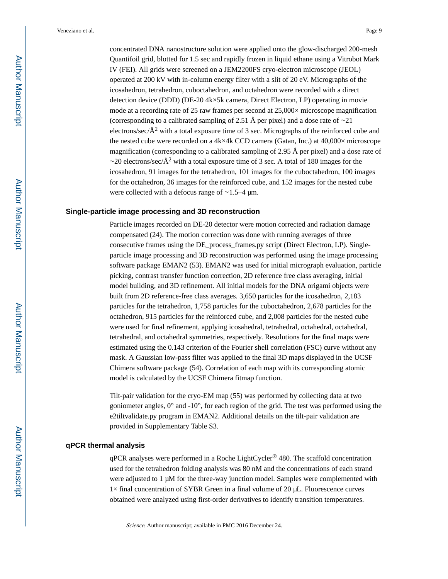concentrated DNA nanostructure solution were applied onto the glow-discharged 200-mesh Quantifoil grid, blotted for 1.5 sec and rapidly frozen in liquid ethane using a Vitrobot Mark IV (FEI). All grids were screened on a JEM2200FS cryo-electron microscope (JEOL) operated at 200 kV with in-column energy filter with a slit of 20 eV. Micrographs of the icosahedron, tetrahedron, cuboctahedron, and octahedron were recorded with a direct detection device (DDD) (DE-20 4k×5k camera, Direct Electron, LP) operating in movie mode at a recording rate of 25 raw frames per second at 25,000× microscope magnification (corresponding to a calibrated sampling of 2.51 Å per pixel) and a dose rate of ∼21 electrons/sec/ $\AA^2$  with a total exposure time of 3 sec. Micrographs of the reinforced cube and the nested cube were recorded on a 4k×4k CCD camera (Gatan, Inc.) at 40,000× microscope magnification (corresponding to a calibrated sampling of 2.95 Å per pixel) and a dose rate of  $\sim$ 20 electrons/sec/Å<sup>2</sup> with a total exposure time of 3 sec. A total of 180 images for the icosahedron, 91 images for the tetrahedron, 101 images for the cuboctahedron, 100 images for the octahedron, 36 images for the reinforced cube, and 152 images for the nested cube were collected with a defocus range of ∼1.5–4 μm.

#### **Single-particle image processing and 3D reconstruction**

Particle images recorded on DE-20 detector were motion corrected and radiation damage compensated (24). The motion correction was done with running averages of three consecutive frames using the DE\_process\_frames.py script (Direct Electron, LP). Singleparticle image processing and 3D reconstruction was performed using the image processing software package EMAN2 (53). EMAN2 was used for initial micrograph evaluation, particle picking, contrast transfer function correction, 2D reference free class averaging, initial model building, and 3D refinement. All initial models for the DNA origami objects were built from 2D reference-free class averages. 3,650 particles for the icosahedron, 2,183 particles for the tetrahedron, 1,758 particles for the cuboctahedron, 2,678 particles for the octahedron, 915 particles for the reinforced cube, and 2,008 particles for the nested cube were used for final refinement, applying icosahedral, tetrahedral, octahedral, octahedral, tetrahedral, and octahedral symmetries, respectively. Resolutions for the final maps were estimated using the 0.143 criterion of the Fourier shell correlation (FSC) curve without any mask. A Gaussian low-pass filter was applied to the final 3D maps displayed in the UCSF Chimera software package (54). Correlation of each map with its corresponding atomic model is calculated by the UCSF Chimera fitmap function.

Tilt-pair validation for the cryo-EM map (55) was performed by collecting data at two goniometer angles, 0° and -10°, for each region of the grid. The test was performed using the e2tiltvalidate.py program in EMAN2. Additional details on the tilt-pair validation are provided in Supplementary Table S3.

#### **qPCR thermal analysis**

qPCR analyses were performed in a Roche LightCycler® 480. The scaffold concentration used for the tetrahedron folding analysis was 80 nM and the concentrations of each strand were adjusted to 1 μM for the three-way junction model. Samples were complemented with  $1\times$  final concentration of SYBR Green in a final volume of 20  $\mu$ L. Fluorescence curves obtained were analyzed using first-order derivatives to identify transition temperatures.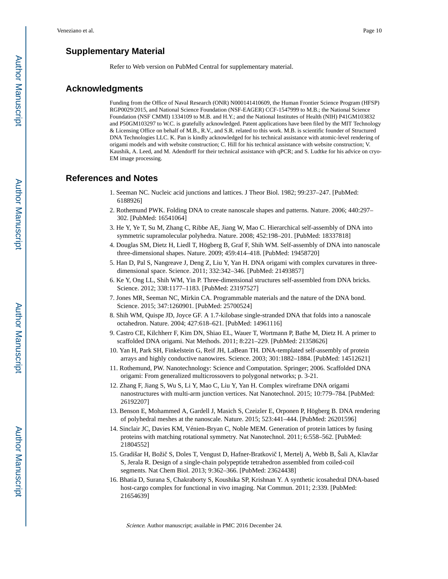# **Supplementary Material**

Refer to Web version on PubMed Central for supplementary material.

# **Acknowledgments**

Funding from the Office of Naval Research (ONR) N000141410609, the Human Frontier Science Program (HFSP) RGP0029/2015, and National Science Foundation (NSF-EAGER) CCF-1547999 to M.B.; the National Science Foundation (NSF CMMI) 1334109 to M.B. and H.Y.; and the National Institutes of Health (NIH) P41GM103832 and P50GM103297 to W.C. is gratefully acknowledged. Patent applications have been filed by the MIT Technology & Licensing Office on behalf of M.B., R.V., and S.R. related to this work. M.B. is scientific founder of Structured DNA Technologies LLC. K. Pan is kindly acknowledged for his technical assistance with atomic-level rendering of origami models and with website construction; C. Hill for his technical assistance with website construction; V. Kaushik, A. Leed, and M. Adendorff for their technical assistance with qPCR; and S. Ludtke for his advice on cryo-EM image processing.

# **References and Notes**

- 1. Seeman NC. Nucleic acid junctions and lattices. J Theor Biol. 1982; 99:237–247. [PubMed: 6188926]
- 2. Rothemund PWK. Folding DNA to create nanoscale shapes and patterns. Nature. 2006; 440:297– 302. [PubMed: 16541064]
- 3. He Y, Ye T, Su M, Zhang C, Ribbe AE, Jiang W, Mao C. Hierarchical self-assembly of DNA into symmetric supramolecular polyhedra. Nature. 2008; 452:198–201. [PubMed: 18337818]
- 4. Douglas SM, Dietz H, Liedl T, Högberg B, Graf F, Shih WM. Self-assembly of DNA into nanoscale three-dimensional shapes. Nature. 2009; 459:414–418. [PubMed: 19458720]
- 5. Han D, Pal S, Nangreave J, Deng Z, Liu Y, Yan H. DNA origami with complex curvatures in threedimensional space. Science. 2011; 332:342–346. [PubMed: 21493857]
- 6. Ke Y, Ong LL, Shih WM, Yin P. Three-dimensional structures self-assembled from DNA bricks. Science. 2012; 338:1177–1183. [PubMed: 23197527]
- 7. Jones MR, Seeman NC, Mirkin CA. Programmable materials and the nature of the DNA bond. Science. 2015; 347:1260901. [PubMed: 25700524]
- 8. Shih WM, Quispe JD, Joyce GF. A 1.7-kilobase single-stranded DNA that folds into a nanoscale octahedron. Nature. 2004; 427:618–621. [PubMed: 14961116]
- 9. Castro CE, Kilchherr F, Kim DN, Shiao EL, Wauer T, Wortmann P, Bathe M, Dietz H. A primer to scaffolded DNA origami. Nat Methods. 2011; 8:221–229. [PubMed: 21358626]
- 10. Yan H, Park SH, Finkelstein G, Reif JH, LaBean TH. DNA-templated self-assembly of protein arrays and highly conductive nanowires. Science. 2003; 301:1882–1884. [PubMed: 14512621]
- 11. Rothemund, PW. Nanotechnology: Science and Computation. Springer; 2006. Scaffolded DNA origami: From generalized multicrossovers to polygonal networks; p. 3-21.
- 12. Zhang F, Jiang S, Wu S, Li Y, Mao C, Liu Y, Yan H. Complex wireframe DNA origami nanostructures with multi-arm junction vertices. Nat Nanotechnol. 2015; 10:779–784. [PubMed: 26192207]
- 13. Benson E, Mohammed A, Gardell J, Masich S, Czeizler E, Orponen P, Högberg B. DNA rendering of polyhedral meshes at the nanoscale. Nature. 2015; 523:441–444. [PubMed: 26201596]
- 14. Sinclair JC, Davies KM, Vénien-Bryan C, Noble MEM. Generation of protein lattices by fusing proteins with matching rotational symmetry. Nat Nanotechnol. 2011; 6:558–562. [PubMed: 21804552]
- 15. Gradišar H, Boži S, Doles T, Vengust D, Hafner-Bratkovi I, Mertelj A, Webb B, Šali A, Klavžar S, Jerala R. Design of a single-chain polypeptide tetrahedron assembled from coiled-coil segments. Nat Chem Biol. 2013; 9:362–366. [PubMed: 23624438]
- 16. Bhatia D, Surana S, Chakraborty S, Koushika SP, Krishnan Y. A synthetic icosahedral DNA-based host-cargo complex for functional in vivo imaging. Nat Commun. 2011; 2:339. [PubMed: 21654639]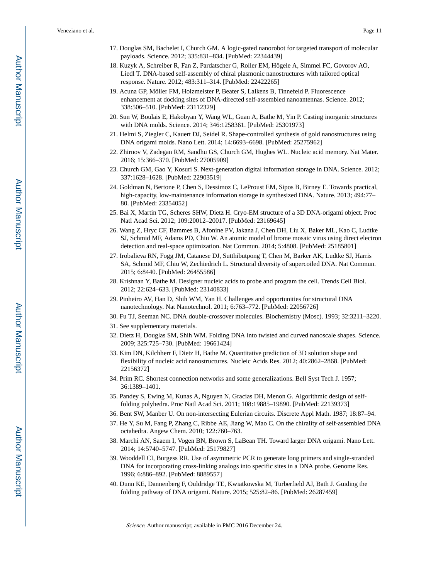- 17. Douglas SM, Bachelet I, Church GM. A logic-gated nanorobot for targeted transport of molecular payloads. Science. 2012; 335:831–834. [PubMed: 22344439]
- 18. Kuzyk A, Schreiber R, Fan Z, Pardatscher G, Roller EM, Högele A, Simmel FC, Govorov AO, Liedl T. DNA-based self-assembly of chiral plasmonic nanostructures with tailored optical response. Nature. 2012; 483:311–314. [PubMed: 22422265]
- 19. Acuna GP, Möller FM, Holzmeister P, Beater S, Lalkens B, Tinnefeld P. Fluorescence enhancement at docking sites of DNA-directed self-assembled nanoantennas. Science. 2012; 338:506–510. [PubMed: 23112329]
- 20. Sun W, Boulais E, Hakobyan Y, Wang WL, Guan A, Bathe M, Yin P. Casting inorganic structures with DNA molds. Science. 2014; 346:1258361. [PubMed: 25301973]
- 21. Helmi S, Ziegler C, Kauert DJ, Seidel R. Shape-controlled synthesis of gold nanostructures using DNA origami molds. Nano Lett. 2014; 14:6693–6698. [PubMed: 25275962]
- 22. Zhirnov V, Zadegan RM, Sandhu GS, Church GM, Hughes WL. Nucleic acid memory. Nat Mater. 2016; 15:366–370. [PubMed: 27005909]
- 23. Church GM, Gao Y, Kosuri S. Next-generation digital information storage in DNA. Science. 2012; 337:1628–1628. [PubMed: 22903519]
- 24. Goldman N, Bertone P, Chen S, Dessimoz C, LeProust EM, Sipos B, Birney E. Towards practical, high-capacity, low-maintenance information storage in synthesized DNA. Nature. 2013; 494:77– 80. [PubMed: 23354052]
- 25. Bai X, Martin TG, Scheres SHW, Dietz H. Cryo-EM structure of a 3D DNA-origami object. Proc Natl Acad Sci. 2012; 109:20012–20017. [PubMed: 23169645]
- 26. Wang Z, Hryc CF, Bammes B, Afonine PV, Jakana J, Chen DH, Liu X, Baker ML, Kao C, Ludtke SJ, Schmid MF, Adams PD, Chiu W. An atomic model of brome mosaic virus using direct electron detection and real-space optimization. Nat Commun. 2014; 5:4808. [PubMed: 25185801]
- 27. Irobalieva RN, Fogg JM, Catanese DJ, Sutthibutpong T, Chen M, Barker AK, Ludtke SJ, Harris SA, Schmid MF, Chiu W, Zechiedrich L. Structural diversity of supercoiled DNA. Nat Commun. 2015; 6:8440. [PubMed: 26455586]
- 28. Krishnan Y, Bathe M. Designer nucleic acids to probe and program the cell. Trends Cell Biol. 2012; 22:624–633. [PubMed: 23140833]
- 29. Pinheiro AV, Han D, Shih WM, Yan H. Challenges and opportunities for structural DNA nanotechnology. Nat Nanotechnol. 2011; 6:763–772. [PubMed: 22056726]
- 30. Fu TJ, Seeman NC. DNA double-crossover molecules. Biochemistry (Mosc). 1993; 32:3211–3220.
- 31. See supplementary materials.
- 32. Dietz H, Douglas SM, Shih WM. Folding DNA into twisted and curved nanoscale shapes. Science. 2009; 325:725–730. [PubMed: 19661424]
- 33. Kim DN, Kilchherr F, Dietz H, Bathe M. Quantitative prediction of 3D solution shape and flexibility of nucleic acid nanostructures. Nucleic Acids Res. 2012; 40:2862–2868. [PubMed: 22156372]
- 34. Prim RC. Shortest connection networks and some generalizations. Bell Syst Tech J. 1957; 36:1389–1401.
- 35. Pandey S, Ewing M, Kunas A, Nguyen N, Gracias DH, Menon G. Algorithmic design of selffolding polyhedra. Proc Natl Acad Sci. 2011; 108:19885–19890. [PubMed: 22139373]
- 36. Bent SW, Manber U. On non-intersecting Eulerian circuits. Discrete Appl Math. 1987; 18:87–94.
- 37. He Y, Su M, Fang P, Zhang C, Ribbe AE, Jiang W, Mao C. On the chirality of self-assembled DNA octahedra. Angew Chem. 2010; 122:760–763.
- 38. Marchi AN, Saaem I, Vogen BN, Brown S, LaBean TH. Toward larger DNA origami. Nano Lett. 2014; 14:5740–5747. [PubMed: 25179827]
- 39. Wooddell CI, Burgess RR. Use of asymmetric PCR to generate long primers and single-stranded DNA for incorporating cross-linking analogs into specific sites in a DNA probe. Genome Res. 1996; 6:886–892. [PubMed: 8889557]
- 40. Dunn KE, Dannenberg F, Ouldridge TE, Kwiatkowska M, Turberfield AJ, Bath J. Guiding the folding pathway of DNA origami. Nature. 2015; 525:82–86. [PubMed: 26287459]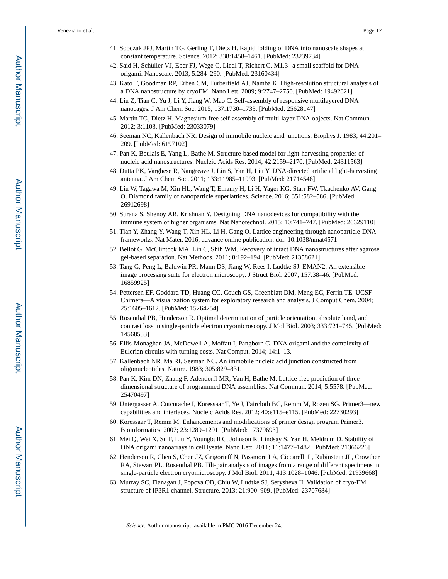- 41. Sobczak JPJ, Martin TG, Gerling T, Dietz H. Rapid folding of DNA into nanoscale shapes at constant temperature. Science. 2012; 338:1458–1461. [PubMed: 23239734]
- 42. Said H, Schüller VJ, Eber FJ, Wege C, Liedl T, Richert C. M1.3--a small scaffold for DNA origami. Nanoscale. 2013; 5:284–290. [PubMed: 23160434]
- 43. Kato T, Goodman RP, Erben CM, Turberfield AJ, Namba K. High-resolution structural analysis of a DNA nanostructure by cryoEM. Nano Lett. 2009; 9:2747–2750. [PubMed: 19492821]
- 44. Liu Z, Tian C, Yu J, Li Y, Jiang W, Mao C. Self-assembly of responsive multilayered DNA nanocages. J Am Chem Soc. 2015; 137:1730–1733. [PubMed: 25628147]
- 45. Martin TG, Dietz H. Magnesium-free self-assembly of multi-layer DNA objects. Nat Commun. 2012; 3:1103. [PubMed: 23033079]
- 46. Seeman NC, Kallenbach NR. Design of immobile nucleic acid junctions. Biophys J. 1983; 44:201– 209. [PubMed: 6197102]
- 47. Pan K, Boulais E, Yang L, Bathe M. Structure-based model for light-harvesting properties of nucleic acid nanostructures. Nucleic Acids Res. 2014; 42:2159–2170. [PubMed: 24311563]
- 48. Dutta PK, Varghese R, Nangreave J, Lin S, Yan H, Liu Y. DNA-directed artificial light-harvesting antenna. J Am Chem Soc. 2011; 133:11985–11993. [PubMed: 21714548]
- 49. Liu W, Tagawa M, Xin HL, Wang T, Emamy H, Li H, Yager KG, Starr FW, Tkachenko AV, Gang O. Diamond family of nanoparticle superlattices. Science. 2016; 351:582–586. [PubMed: 26912698]
- 50. Surana S, Shenoy AR, Krishnan Y. Designing DNA nanodevices for compatibility with the immune system of higher organisms. Nat Nanotechnol. 2015; 10:741–747. [PubMed: 26329110]
- 51. Tian Y, Zhang Y, Wang T, Xin HL, Li H, Gang O. Lattice engineering through nanoparticle-DNA frameworks. Nat Mater. 2016; advance online publication. doi: 10.1038/nmat4571
- 52. Bellot G, McClintock MA, Lin C, Shih WM. Recovery of intact DNA nanostructures after agarose gel-based separation. Nat Methods. 2011; 8:192–194. [PubMed: 21358621]
- 53. Tang G, Peng L, Baldwin PR, Mann DS, Jiang W, Rees I, Ludtke SJ. EMAN2: An extensible image processing suite for electron microscopy. J Struct Biol. 2007; 157:38–46. [PubMed: 16859925]
- 54. Pettersen EF, Goddard TD, Huang CC, Couch GS, Greenblatt DM, Meng EC, Ferrin TE. UCSF Chimera—A visualization system for exploratory research and analysis. J Comput Chem. 2004; 25:1605–1612. [PubMed: 15264254]
- 55. Rosenthal PB, Henderson R. Optimal determination of particle orientation, absolute hand, and contrast loss in single-particle electron cryomicroscopy. J Mol Biol. 2003; 333:721–745. [PubMed: 14568533]
- 56. Ellis-Monaghan JA, McDowell A, Moffatt I, Pangborn G. DNA origami and the complexity of Eulerian circuits with turning costs. Nat Comput. 2014; 14:1–13.
- 57. Kallenbach NR, Ma RI, Seeman NC. An immobile nucleic acid junction constructed from oligonucleotides. Nature. 1983; 305:829–831.
- 58. Pan K, Kim DN, Zhang F, Adendorff MR, Yan H, Bathe M. Lattice-free prediction of threedimensional structure of programmed DNA assemblies. Nat Commun. 2014; 5:5578. [PubMed: 25470497]
- 59. Untergasser A, Cutcutache I, Koressaar T, Ye J, Faircloth BC, Remm M, Rozen SG. Primer3—new capabilities and interfaces. Nucleic Acids Res. 2012; 40:e115–e115. [PubMed: 22730293]
- 60. Koressaar T, Remm M. Enhancements and modifications of primer design program Primer3. Bioinformatics. 2007; 23:1289–1291. [PubMed: 17379693]
- 61. Mei Q, Wei X, Su F, Liu Y, Youngbull C, Johnson R, Lindsay S, Yan H, Meldrum D. Stability of DNA origami nanoarrays in cell lysate. Nano Lett. 2011; 11:1477–1482. [PubMed: 21366226]
- 62. Henderson R, Chen S, Chen JZ, Grigorieff N, Passmore LA, Ciccarelli L, Rubinstein JL, Crowther RA, Stewart PL, Rosenthal PB. Tilt-pair analysis of images from a range of different specimens in single-particle electron cryomicroscopy. J Mol Biol. 2011; 413:1028–1046. [PubMed: 21939668]
- 63. Murray SC, Flanagan J, Popova OB, Chiu W, Ludtke SJ, Serysheva II. Validation of cryo-EM structure of IP3R1 channel. Structure. 2013; 21:900–909. [PubMed: 23707684]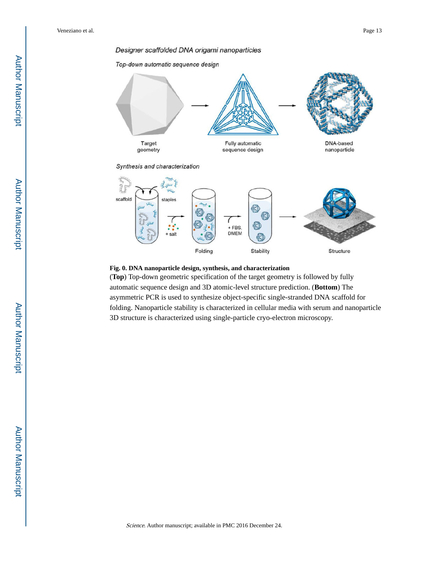#### Designer scaffolded DNA origami nanoparticles

Top-down automatic sequence design



Synthesis and characterization



#### **Fig. 0. DNA nanoparticle design, synthesis, and characterization**

(**Top**) Top-down geometric specification of the target geometry is followed by fully automatic sequence design and 3D atomic-level structure prediction. (**Bottom**) The asymmetric PCR is used to synthesize object-specific single-stranded DNA scaffold for folding. Nanoparticle stability is characterized in cellular media with serum and nanoparticle 3D structure is characterized using single-particle cryo-electron microscopy.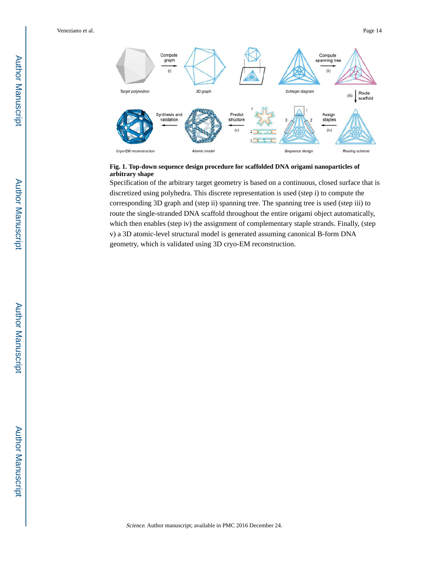

#### **Fig. 1. Top-down sequence design procedure for scaffolded DNA origami nanoparticles of arbitrary shape**

Specification of the arbitrary target geometry is based on a continuous, closed surface that is discretized using polyhedra. This discrete representation is used (step i) to compute the corresponding 3D graph and (step ii) spanning tree. The spanning tree is used (step iii) to route the single-stranded DNA scaffold throughout the entire origami object automatically, which then enables (step iv) the assignment of complementary staple strands. Finally, (step v) a 3D atomic-level structural model is generated assuming canonical B-form DNA geometry, which is validated using 3D cryo-EM reconstruction.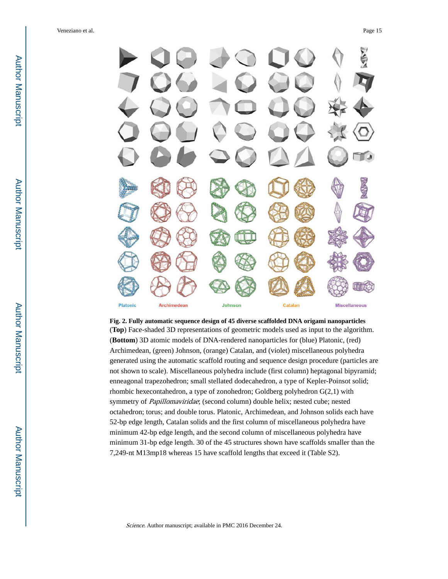

# **Fig. 2. Fully automatic sequence design of 45 diverse scaffolded DNA origami nanoparticles**

(**Top**) Face-shaded 3D representations of geometric models used as input to the algorithm. (**Bottom**) 3D atomic models of DNA-rendered nanoparticles for (blue) Platonic, (red) Archimedean, (green) Johnson, (orange) Catalan, and (violet) miscellaneous polyhedra generated using the automatic scaffold routing and sequence design procedure (particles are not shown to scale). Miscellaneous polyhedra include (first column) heptagonal bipyramid; enneagonal trapezohedron; small stellated dodecahedron, a type of Kepler-Poinsot solid; rhombic hexecontahedron, a type of zonohedron; Goldberg polyhedron G(2,1) with symmetry of Papillomaviridae; (second column) double helix; nested cube; nested octahedron; torus; and double torus. Platonic, Archimedean, and Johnson solids each have 52-bp edge length, Catalan solids and the first column of miscellaneous polyhedra have minimum 42-bp edge length, and the second column of miscellaneous polyhedra have minimum 31-bp edge length. 30 of the 45 structures shown have scaffolds smaller than the 7,249-nt M13mp18 whereas 15 have scaffold lengths that exceed it (Table S2).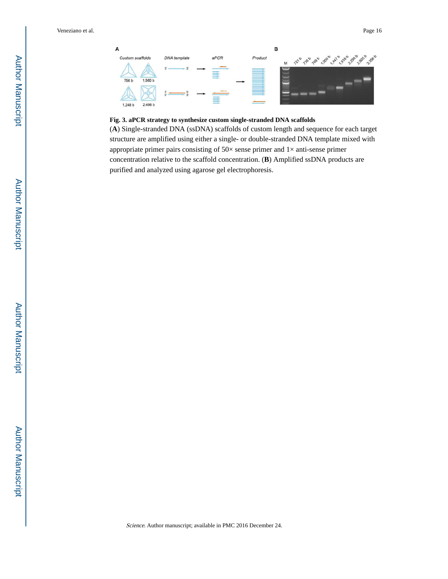

# **Fig. 3. aPCR strategy to synthesize custom single-stranded DNA scaffolds**

(**A**) Single-stranded DNA (ssDNA) scaffolds of custom length and sequence for each target structure are amplified using either a single- or double-stranded DNA template mixed with appropriate primer pairs consisting of  $50\times$  sense primer and  $1\times$  anti-sense primer concentration relative to the scaffold concentration. (**B**) Amplified ssDNA products are purified and analyzed using agarose gel electrophoresis.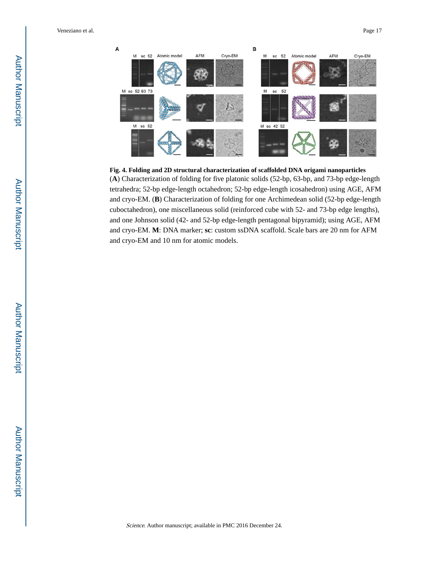



(**A**) Characterization of folding for five platonic solids (52-bp, 63-bp, and 73-bp edge-length tetrahedra; 52-bp edge-length octahedron; 52-bp edge-length icosahedron) using AGE, AFM and cryo-EM. (**B**) Characterization of folding for one Archimedean solid (52-bp edge-length cuboctahedron), one miscellaneous solid (reinforced cube with 52- and 73-bp edge lengths), and one Johnson solid (42- and 52-bp edge-length pentagonal bipyramid); using AGE, AFM and cryo-EM. **M**: DNA marker; **sc**: custom ssDNA scaffold. Scale bars are 20 nm for AFM and cryo-EM and 10 nm for atomic models.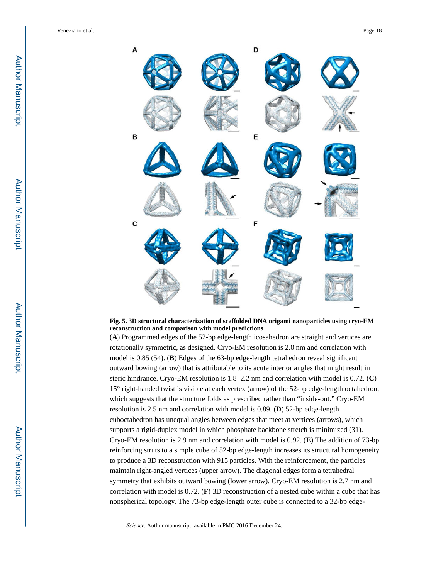

**Fig. 5. 3D structural characterization of scaffolded DNA origami nanoparticles using cryo-EM reconstruction and comparison with model predictions**

(**A**) Programmed edges of the 52-bp edge-length icosahedron are straight and vertices are rotationally symmetric, as designed. Cryo-EM resolution is 2.0 nm and correlation with model is 0.85 (54). (**B**) Edges of the 63-bp edge-length tetrahedron reveal significant outward bowing (arrow) that is attributable to its acute interior angles that might result in steric hindrance. Cryo-EM resolution is 1.8–2.2 nm and correlation with model is 0.72. (**C**) 15° right-handed twist is visible at each vertex (arrow) of the 52-bp edge-length octahedron, which suggests that the structure folds as prescribed rather than "inside-out." Cryo-EM resolution is 2.5 nm and correlation with model is 0.89. (**D**) 52-bp edge-length cuboctahedron has unequal angles between edges that meet at vertices (arrows), which supports a rigid-duplex model in which phosphate backbone stretch is minimized (31). Cryo-EM resolution is 2.9 nm and correlation with model is 0.92. (**E**) The addition of 73-bp reinforcing struts to a simple cube of 52-bp edge-length increases its structural homogeneity to produce a 3D reconstruction with 915 particles. With the reinforcement, the particles maintain right-angled vertices (upper arrow). The diagonal edges form a tetrahedral symmetry that exhibits outward bowing (lower arrow). Cryo-EM resolution is 2.7 nm and correlation with model is 0.72. (**F**) 3D reconstruction of a nested cube within a cube that has nonspherical topology. The 73-bp edge-length outer cube is connected to a 32-bp edge-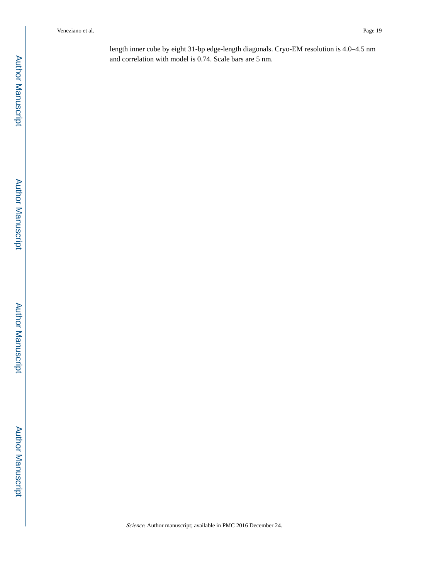length inner cube by eight 31-bp edge-length diagonals. Cryo-EM resolution is 4.0–4.5 nm and correlation with model is 0.74. Scale bars are 5 nm.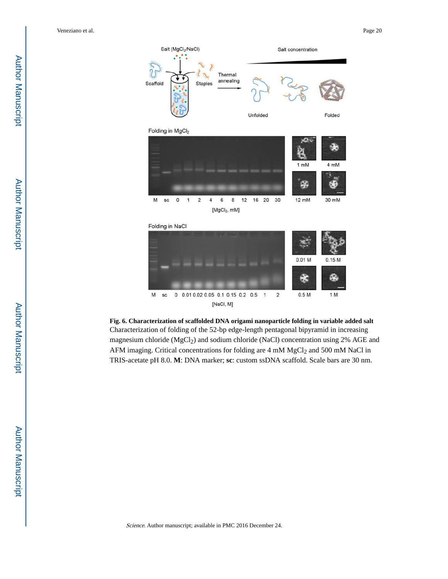